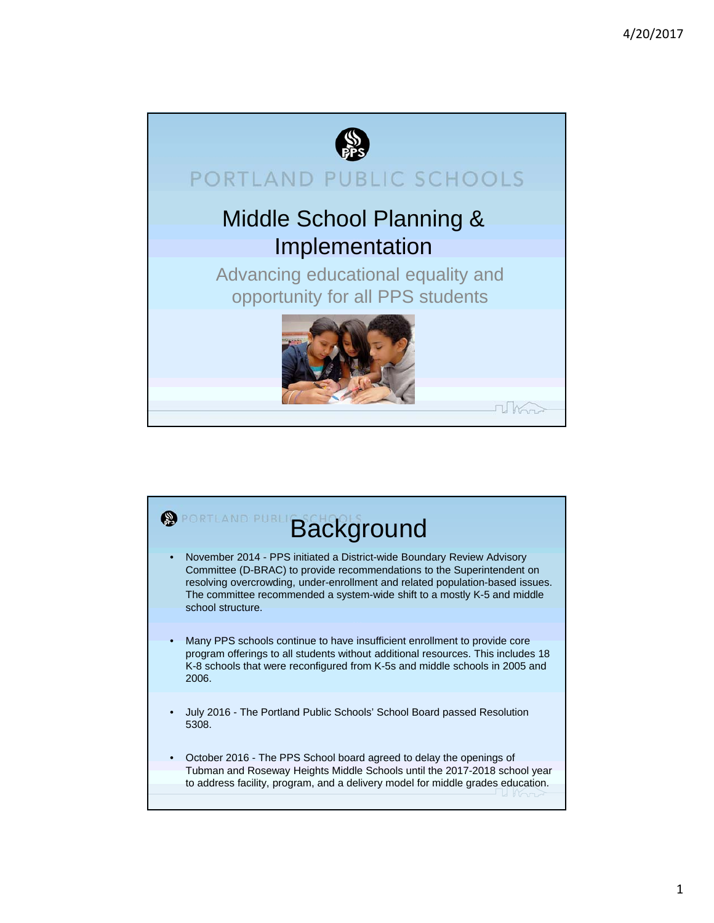

## PORTLAND PUBLIC SCHOOLS

## Middle School Planning & Implementation

Advancing educational equality and opportunity for all PPS students



 $U$   $K_{\Omega}$ 

## **Background** • November 2014 - PPS initiated a District-wide Boundary Review Advisory Committee (D-BRAC) to provide recommendations to the Superintendent on resolving overcrowding, under-enrollment and related population-based issues. The committee recommended a system-wide shift to a mostly K-5 and middle school structure. • Many PPS schools continue to have insufficient enrollment to provide core program offerings to all students without additional resources. This includes 18 K-8 schools that were reconfigured from K-5s and middle schools in 2005 and 2006. • July 2016 - The Portland Public Schools' School Board passed Resolution 5308. • October 2016 - The PPS School board agreed to delay the openings of Tubman and Roseway Heights Middle Schools until the 2017-2018 school year to address facility, program, and a delivery model for middle grades education.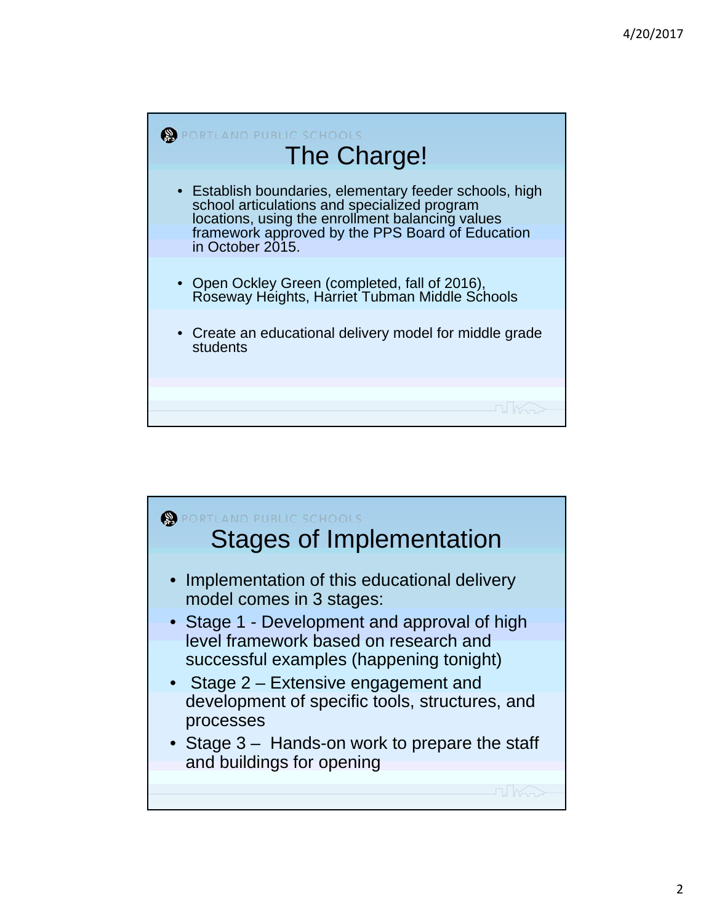

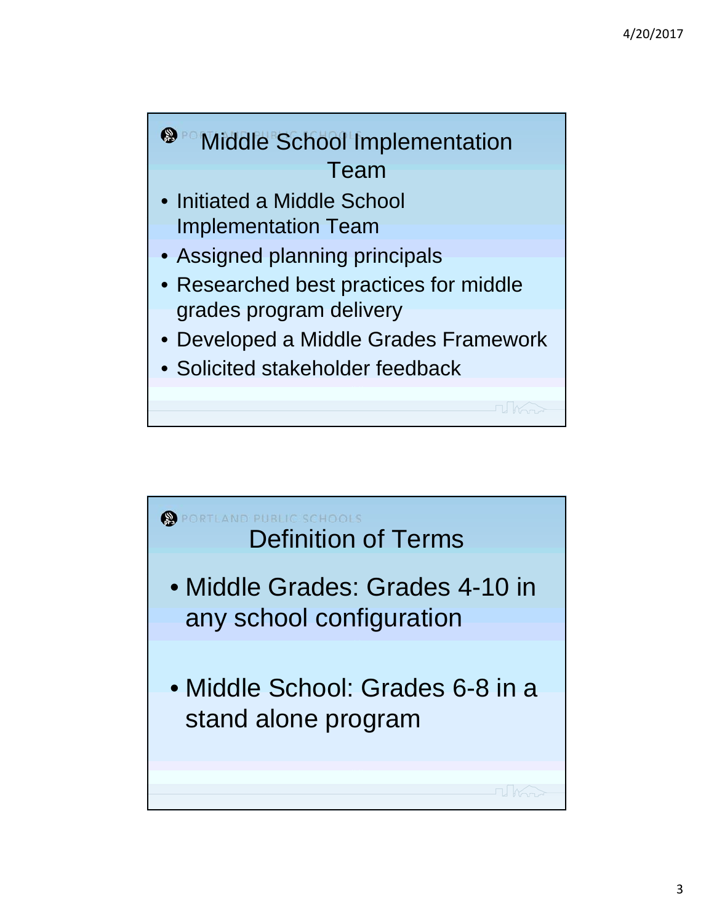

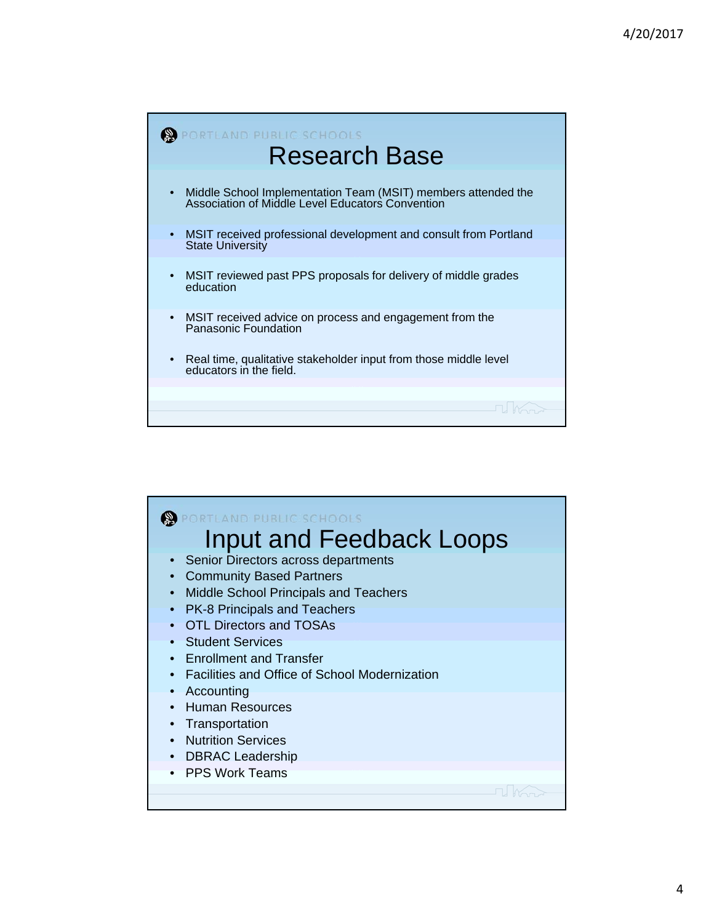

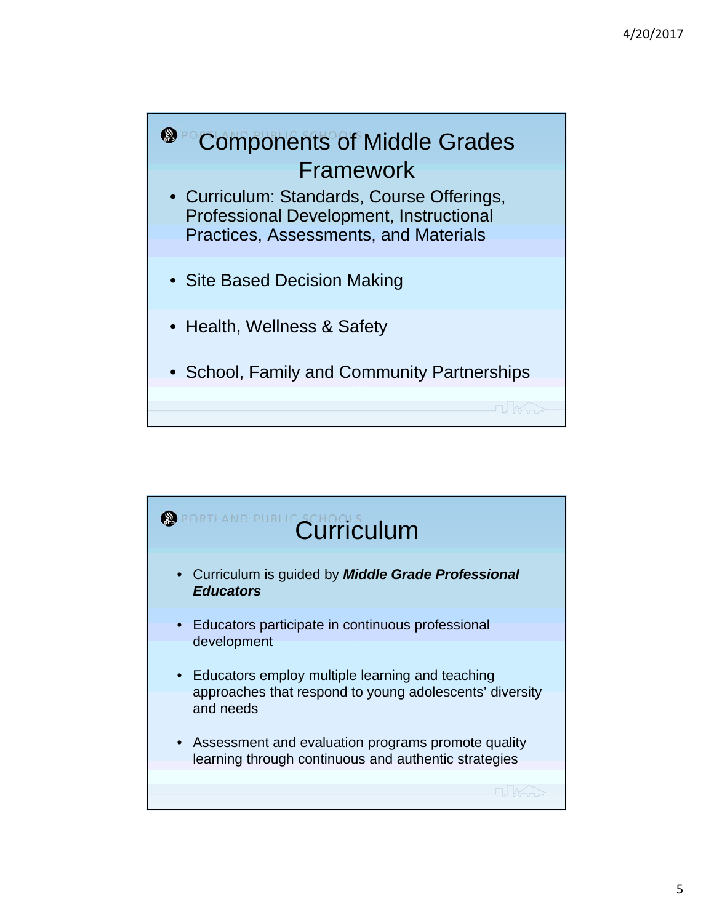

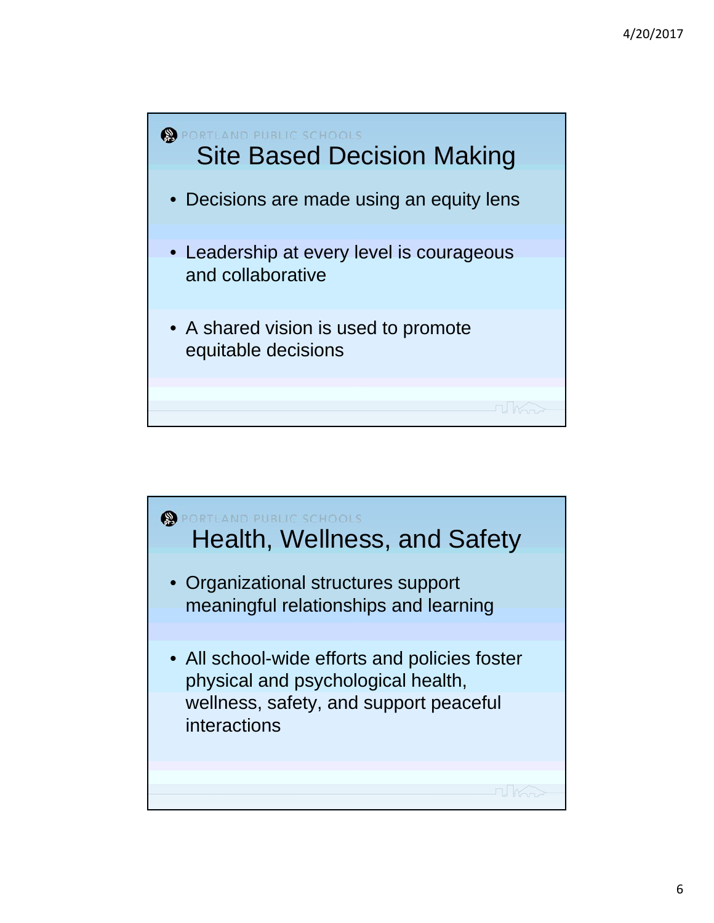

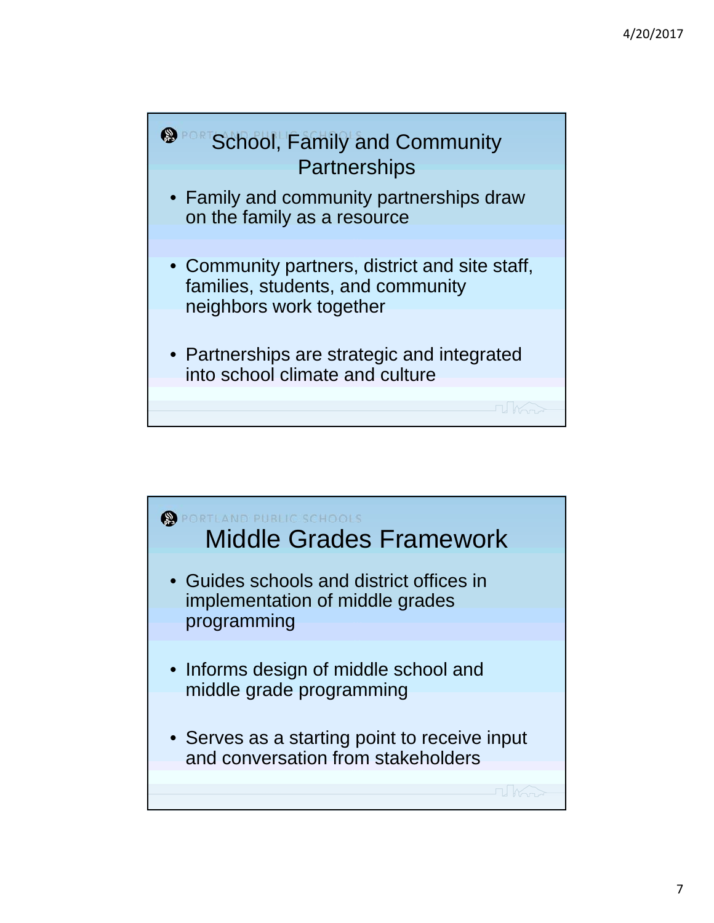